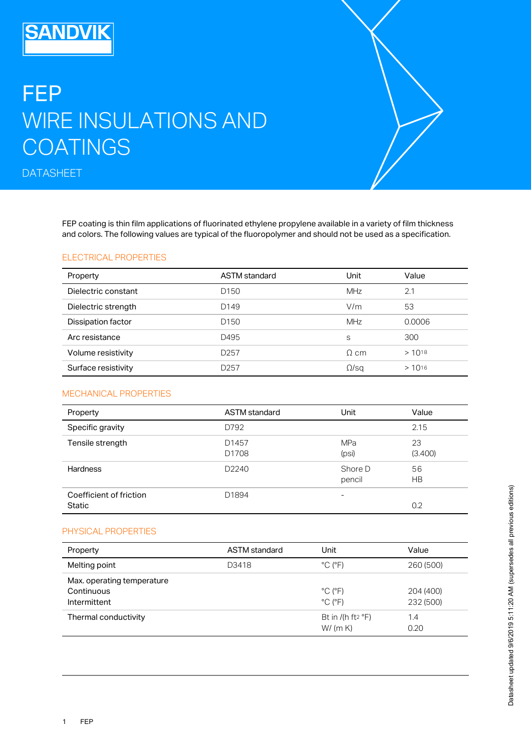## FEP WIRE INSULATIONS AND **COATINGS**

**DATASHEET** 

**SANDVIK** 

FEP coating is thin film applications of fluorinated ethylene propylene available in a variety of film thickness and colors. The following values are typical of the fluoropolymer and should not be used as a specification.

## ELECTRICAL PROPERTIES

| Property            | <b>ASTM</b> standard | Unit         | Value      |
|---------------------|----------------------|--------------|------------|
| Dielectric constant | D <sub>150</sub>     | <b>MHz</b>   | 2.1        |
| Dielectric strength | D <sub>149</sub>     | V/m          | 53         |
| Dissipation factor  | D <sub>150</sub>     | <b>MHz</b>   | 0.0006     |
| Arc resistance      | D495                 | S            | 300        |
| Volume resistivity  | D <sub>257</sub>     | $\Omega$ cm  | $>10^{18}$ |
| Surface resistivity | D <sub>257</sub>     | $\Omega$ /sa | $>10^{16}$ |

## MECHANICAL PROPERTIES

| Property                          | <b>ASTM</b> standard | Unit                | Value           |
|-----------------------------------|----------------------|---------------------|-----------------|
| Specific gravity                  | D792                 |                     | 2.15            |
| Tensile strength                  | D1457<br>D1708       | <b>MPa</b><br>(psi) | 23<br>(3.400)   |
| <b>Hardness</b>                   | D <sub>2240</sub>    | Shore D<br>pencil   | 56<br><b>HB</b> |
| Coefficient of friction<br>Static | D1894                |                     | 0.2             |

## PHYSICAL PROPERTIES

| Property                                                 | <b>ASTM</b> standard | Unit                                                         | Value                  |
|----------------------------------------------------------|----------------------|--------------------------------------------------------------|------------------------|
| Melting point                                            | D3418                | $^{\circ}$ C ( $^{\circ}$ F)                                 | 260 (500)              |
| Max. operating temperature<br>Continuous<br>Intermittent |                      | $^{\circ}$ C ( $^{\circ}$ F)<br>$^{\circ}$ C ( $^{\circ}$ F) | 204 (400)<br>232 (500) |
| Thermal conductivity                                     |                      | Bt in $I$ (h ft <sup>2</sup> $\degree$ F)<br>W/(m K)         | 1.4<br>0.20            |